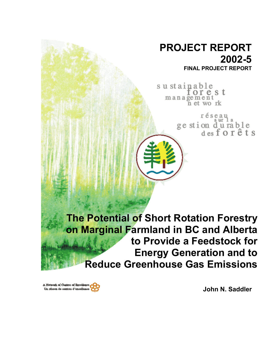# **PROJECT REPORT 2002-5 FINAL PROJECT REPORT**

sustainable orest  $m$  an a gement<br>n et work

> réseau ge stion du rable<br>desforêts

**The Potential of Short Rotation Forestry on Marginal Farmland in BC and Alberta to Provide a Feedstock for Energy Generation and to Reduce Greenhouse Gas Emissions**

A Network of Centres of Excellence Un réseau de centres d'excellence

**John N. Saddler**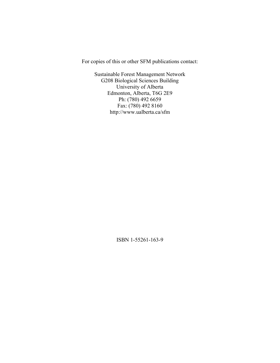For copies of this or other SFM publications contact:

Sustainable Forest Management Network G208 Biological Sciences Building University of Alberta Edmonton, Alberta, T6G 2E9 Ph: (780) 492 6659 Fax: (780) 492 8160 http://www.ualberta.ca/sfm

ISBN 1-55261-163-9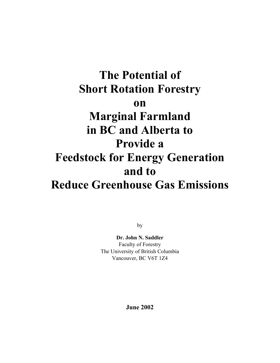# **The Potential of Short Rotation Forestry on Marginal Farmland in BC and Alberta to Provide a Feedstock for Energy Generation and to Reduce Greenhouse Gas Emissions**

by

**Dr. John N. Saddler** Faculty of Forestry The University of British Columbia Vancouver, BC V6T 1Z4

**June 2002**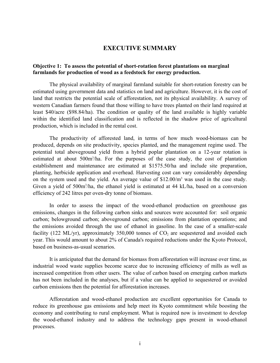# **EXECUTIVE SUMMARY**

## **Objective 1: To assess the potential of short-rotation forest plantations on marginal farmlands for production of wood as a feedstock for energy production.**

The physical availability of marginal farmland suitable for short-rotation forestry can be estimated using government data and statistics on land and agriculture. However, it is the cost of land that restricts the potential scale of afforestation, not its physical availability. A survey of western Canadian farmers found that those willing to have trees planted on their land required at least \$40/acre (\$98.84/ha). The condition or quality of the land available is highly variable within the identified land classification and is reflected in the shadow price of agricultural production, which is included in the rental cost.

The productivity of afforested land, in terms of how much wood-biomass can be produced, depends on site productivity, species planted, and the management regime used. The potential total aboveground yield from a hybrid poplar plantation on a 12-year rotation is estimated at about 500m<sup>3</sup>/ha. For the purposes of the case study, the cost of plantation establishment and maintenance are estimated at \$1575.50/ha and include site preparation, planting, herbicide application and overhead. Harvesting cost can vary considerably depending on the system used and the yield. An average value of  $$12.00/m<sup>3</sup>$  was used in the case study. Given a yield of 500m<sup>3</sup>/ha, the ethanol yield is estimated at 44 kL/ha, based on a conversion efficiency of 242 litres per oven-dry tonne of biomass.

In order to assess the impact of the wood-ethanol production on greenhouse gas emissions, changes in the following carbon sinks and sources were accounted for: soil organic carbon; belowground carbon; aboveground carbon; emissions from plantation operations; and the emissions avoided through the use of ethanol in gasoline. In the case of a smaller-scale facility (122 ML/yr), approximately 350,000 tonnes of  $CO<sub>2</sub>$  are sequestered and avoided each year. This would amount to about 2% of Canada's required reductions under the Kyoto Protocol, based on business-as-usual scenarios.

It is anticipated that the demand for biomass from afforestation will increase over time, as industrial wood waste supplies become scarce due to increasing efficiency of mills as well as increased competition from other users. The value of carbon based on emerging carbon markets has not been included in the analyses, but if a value can be applied to sequestered or avoided carbon emissions then the potential for afforestation increases.

Afforestation and wood-ethanol production are excellent opportunities for Canada to reduce its greenhouse gas emissions and help meet its Kyoto commitment while boosting the economy and contributing to rural employment. What is required now is investment to develop the wood-ethanol industry and to address the technology gaps present in wood-ethanol processes.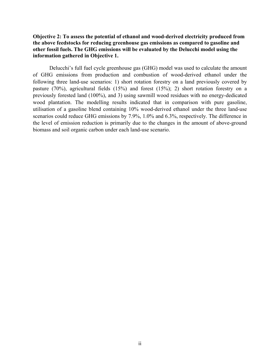## **Objective 2: To assess the potential of ethanol and wood-derived electricity produced from the above feedstocks for reducing greenhouse gas emissions as compared to gasoline and other fossil fuels. The GHG emissions will be evaluated by the Delucchi model using the information gathered in Objective 1.**

Delucchi's full fuel cycle greenhouse gas (GHG) model was used to calculate the amount of GHG emissions from production and combustion of wood-derived ethanol under the following three land-use scenarios: 1) short rotation forestry on a land previously covered by pasture (70%), agricultural fields (15%) and forest (15%); 2) short rotation forestry on a previously forested land (100%), and 3) using sawmill wood residues with no energy-dedicated wood plantation. The modelling results indicated that in comparison with pure gasoline, utilisation of a gasoline blend containing 10% wood-derived ethanol under the three land-use scenarios could reduce GHG emissions by 7.9%, 1.0% and 6.3%, respectively. The difference in the level of emission reduction is primarily due to the changes in the amount of above-ground biomass and soil organic carbon under each land-use scenario.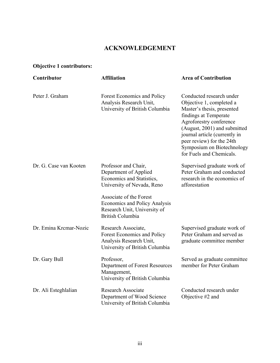# **ACKNOWLEDGEMENT**

# **Objective 1 contributors:**

| Contributor            | <b>Affiliation</b>                                                                                                         | <b>Area of Contribution</b>                                                                                                                                                                                                                                                                    |
|------------------------|----------------------------------------------------------------------------------------------------------------------------|------------------------------------------------------------------------------------------------------------------------------------------------------------------------------------------------------------------------------------------------------------------------------------------------|
| Peter J. Graham        | Forest Economics and Policy<br>Analysis Research Unit,<br>University of British Columbia                                   | Conducted research under<br>Objective 1, completed a<br>Master's thesis, presented<br>findings at Temperate<br>Agroforestry conference<br>(August, 2001) and submitted<br>journal article (currently in<br>peer review) for the 24th<br>Symposium on Biotechnology<br>for Fuels and Chemicals. |
| Dr. G. Case van Kooten | Professor and Chair,<br>Department of Applied<br>Economics and Statistics,<br>University of Nevada, Reno                   | Supervised graduate work of<br>Peter Graham and conducted<br>research in the economics of<br>afforestation                                                                                                                                                                                     |
|                        | Associate of the Forest<br><b>Economics and Policy Analysis</b><br>Research Unit, University of<br><b>British Columbia</b> |                                                                                                                                                                                                                                                                                                |
| Dr. Emina Kremar-Nozie | Research Associate,<br><b>Forest Economics and Policy</b><br>Analysis Research Unit,<br>University of British Columbia     | Supervised graduate work of<br>Peter Graham and served as<br>graduate committee member                                                                                                                                                                                                         |
| Dr. Gary Bull          | Professor,<br>Department of Forest Resources<br>Management,<br>University of British Columbia                              | Served as graduate committee<br>member for Peter Graham                                                                                                                                                                                                                                        |
| Dr. Ali Esteghlalian   | <b>Research Associate</b><br>Department of Wood Science<br>University of British Columbia                                  | Conducted research under<br>Objective #2 and                                                                                                                                                                                                                                                   |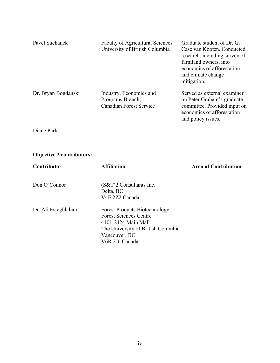| Pavel Suchanek      | <b>Faculty of Agricultural Sciences</b><br>University of British Columbia     | Graduate student of Dr. G.<br>Case van Kooten. Conducted<br>research, including survey of<br>farmland owners, into<br>economics of afforestation<br>and climate change<br>mitigation. |
|---------------------|-------------------------------------------------------------------------------|---------------------------------------------------------------------------------------------------------------------------------------------------------------------------------------|
| Dr. Bryan Bogdanski | Industry, Economics and<br>Programs Branch,<br><b>Canadian Forest Service</b> | Served as external examiner<br>on Peter Graham's graduate<br>committee. Provided input on<br>economics of afforestation<br>and policy issues.                                         |

Diane Park

# **Objective 2 contributors:**

| <b>Contributor</b>   | <b>Affiliation</b>                                                                                                                                                    | <b>Area of Contribution</b> |
|----------------------|-----------------------------------------------------------------------------------------------------------------------------------------------------------------------|-----------------------------|
| Don O'Connor         | $(S&T)2$ Consultants Inc.<br>Delta, BC<br>V4E 2Z2 Canada                                                                                                              |                             |
| Dr. Ali Esteghlalian | <b>Forest Products Biotechnology</b><br><b>Forest Sciences Centre</b><br>4101-2424 Main Mall<br>The University of British Columbia<br>Vancouver, BC<br>V6R 2J6 Canada |                             |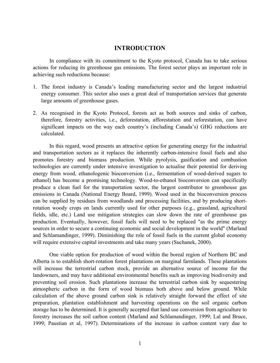# **INTRODUCTION**

In compliance with its commitment to the Kyoto protocol, Canada has to take serious actions for reducing its greenhouse gas emissions. The forest sector plays an important role in achieving such reductions because:

- 1. The forest industry is Canada's leading manufacturing sector and the largest industrial energy consumer. This sector also uses a great deal of transportation services that generate large amounts of greenhouse gases.
- 2. As recognised in the Kyoto Protocol, forests act as both sources and sinks of carbon, therefore, forestry activities, i.e., deforestation, afforestation and reforestation, can have significant impacts on the way each country's (including Canada's) GHG reductions are calculated.

In this regard, wood presents an attractive option for generating energy for the industrial and transportation sectors as it replaces the inherently carbon-intensive fossil fuels and also promotes forestry and biomass production. While pyrolysis, gasification and combustion technologies are currently under intensive investigation to actualise their potential for deriving energy from wood, ethanologenic bioconversion (i.e., fermentation of wood-derived sugars to ethanol) has become a promising technology. Wood-to-ethanol bioconversion can specifically produce a clean fuel for the transportation sector, the largest contributor to greenhouse gas emissions in Canada (National Energy Board, 1999). Wood used in the bioconversion process can be supplied by residues from woodlands and processing facilities, and by producing shortrotation woody crops on lands currently used for other purposes (e.g., grassland, agricultural fields, idle, etc.) Land use mitigation strategies can slow down the rate of greenhouse gas production. Eventually, however, fossil fuels will need to be replaced "as the prime energy sources in order to secure a continuing economic and social development in the world" (Marland and Schlamandinger, 1999). Diminishing the role of fossil fuels in the current global economy will require extensive capital investments and take many years (Suchanek, 2000).

One viable option for production of wood within the boreal region of Northern BC and Alberta is to establish short-rotation forest plantations on marginal farmlands. These plantations will increase the terrestrial carbon stock, provide an alternative source of income for the landowners, and may have additional environmental benefits such as improving biodiversity and preventing soil erosion. Such plantations increase the terrestrial carbon sink by sequestering atmospheric carbon in the form of wood biomass both above and below ground. While calculation of the above ground carbon sink is relatively straight forward the effect of site preparation, plantation establishment and harvesting operations on the soil organic carbon storage has to be determined. It is generally accepted that land use conversion from agriculture to forestry increases the soil carbon content (Marland and Schlamandinger, 1999; Lal and Bruce, 1999; Paustian et al, 1997). Determinations of the increase in carbon content vary due to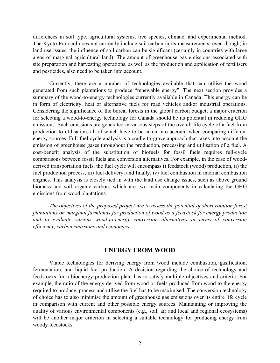differences in soil type, agricultural systems, tree species, climate, and experimental method. The Kyoto Protocol does not currently include soil carbon in its measurements, even though, in land use issues, the influence of soil carbon can be significant (certainly in countries with large areas of marginal agricultural land). The amount of greenhouse gas emissions associated with site preparation and harvesting operations, as well as the production and application of fertilisers and pesticides, also need to be taken into account.

Currently, there are a number of technologies available that can utilise the wood generated from such plantations to produce "renewable energy". The next section provides a summary of the wood-to-energy technologies currently available in Canada. This energy can be in form of electricity, heat or alternative fuels for road vehicles and/or industrial operations. Considering the significance of the boreal forests in the global carbon budget, a major criterion for selecting a wood-to-energy technology for Canada should be its potential in reducing GHG emissions. Such emissions are generated in various steps of the overall life cycle of a fuel from production to utilisation, all of which have to be taken into account when comparing different energy sources. Full-fuel cycle analysis is a cradle-to-grave approach that takes into account the emission of greenhouse gases throughout the production, processing and utilisation of a fuel. A cost-benefit analysis of the substitution of biofuels for fossil fuels requires full-cycle comparisons between fossil fuels and conversion alternatives. For example, in the case of woodderived transportation fuels, the fuel cycle will encompass i) feedstock (wood) production, ii) the fuel production process, iii) fuel delivery, and finally, iv) fuel combustion in internal combustion engines. This analysis is closely tied in with the land use change issues, such as above ground biomass and soil organic carbon, which are two main components in calculating the GHG emissions from wood plantations.

*The objectives of the proposed project are to assess the potential of short rotation forest plantations on marginal farmlands for production of wood as a feedstock for energy production and to evaluate various wood-to-energy conversion alternatives in terms of conversion efficiency, carbon emissions and economics.* 

# **ENERGY FROM WOOD**

Viable technologies for deriving energy from wood include combustion, gasification, fermentation, and liquid fuel production. A decision regarding the choice of technology and feedstocks for a bioenergy production plant has to satisfy multiple objectives and criteria. For example, the ratio of the energy derived from wood or fuels produced from wood to the energy required to produce, process and utilise the fuel has to be maximised. The conversion technology of choice has to also minimise the amount of greenhouse gas emissions over its entire life cycle in comparison with current and other possible energy sources. Maintaining or improving the quality of various environmental components (e.g., soil, air and local and regional ecosystems) will be another major criterion in selecting a suitable technology for producing energy from woody feedstocks.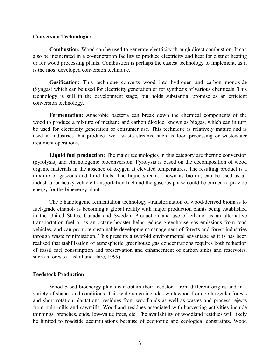#### **Conversion Technologies**

**Combustion:** Wood can be used to generate electricity through direct combustion. It can also be incinerated in a co-generation facility to produce electricity and heat for district heating or for wood processing plants. Combustion is perhaps the easiest technology to implement, as it is the most developed conversion technique.

**Gasification:** This technique converts wood into hydrogen and carbon monoxide (Syngas) which can be used for electricity generation or for synthesis of various chemicals. This technology is still in the development stage, but holds substantial promise as an efficient conversion technology.

**Fermentation:** Anaerobic bacteria can break down the chemical components of the wood to produce a mixture of methane and carbon dioxide, known as biogas, which can in turn be used for electricity generation or consumer use. This technique is relatively mature and is used in industries that produce 'wet' waste streams, such as food processing or wastewater treatment operations.

**Liquid fuel production:** The major technologies in this category are thermic conversion (pyrolysis) and ethanologenic bioconversion. Pyrolysis is based on the decomposition of wood organic materials in the absence of oxygen at elevated temperatures. The resulting product is a mixture of gaseous and fluid fuels. The liquid stream, known as bio-oil, can be used as an industrial or heavy-vehicle transportation fuel and the gaseous phase could be burned to provide energy for the bioenergy plant.

The ethanologenic fermentation technology -transformation of wood-derived biomass to fuel-grade ethanol- is becoming a global reality with major production plants being established in the United States, Canada and Sweden. Production and use of ethanol as an alternative transportation fuel or as an octane booster helps reduce greenhouse gas emissions from road vehicles, and can promote sustainable development/management of forests and forest industries through waste minimisation. This presents a twofold environmental advantage as it is has been realised that stabilisation of atmospheric greenhouse gas concentrations requires both reduction of fossil fuel consumption and preservation and enhancement of carbon sinks and reservoirs, such as forests (Lashof and Hare, 1999).

#### **Feedstock Production**

Wood-based bioenergy plants can obtain their feedstock from different origins and in a variety of shapes and conditions. This wide range includes whitewood from both regular forests and short rotation plantations, residues from woodlands as well as wastes and process rejects from pulp mills and sawmills. Woodland residues associated with harvesting activities include thinnings, branches, ends, low-value trees, etc. The availability of woodland residues will likely be limited to roadside accumulations because of economic and ecological constraints. Wood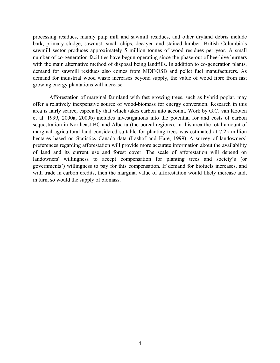processing residues, mainly pulp mill and sawmill residues, and other dryland debris include bark, primary sludge, sawdust, small chips, decayed and stained lumber. British Columbia's sawmill sector produces approximately 5 million tonnes of wood residues per year. A small number of co-generation facilities have begun operating since the phase-out of bee-hive burners with the main alternative method of disposal being landfills. In addition to co-generation plants, demand for sawmill residues also comes from MDF/OSB and pellet fuel manufacturers. As demand for industrial wood waste increases beyond supply, the value of wood fibre from fast growing energy plantations will increase.

Afforestation of marginal farmland with fast growing trees, such as hybrid poplar, may offer a relatively inexpensive source of wood-biomass for energy conversion. Research in this area is fairly scarce, especially that which takes carbon into account. Work by G.C. van Kooten et al. 1999, 2000a, 2000b) includes investigations into the potential for and costs of carbon sequestration in Northeast BC and Alberta (the boreal regions). In this area the total amount of marginal agricultural land considered suitable for planting trees was estimated at 7.25 million hectares based on Statistics Canada data (Lashof and Hare, 1999). A survey of landowners' preferences regarding afforestation will provide more accurate information about the availability of land and its current use and forest cover. The scale of afforestation will depend on landowners' willingness to accept compensation for planting trees and society's (or governments') willingness to pay for this compensation. If demand for biofuels increases, and with trade in carbon credits, then the marginal value of afforestation would likely increase and, in turn, so would the supply of biomass.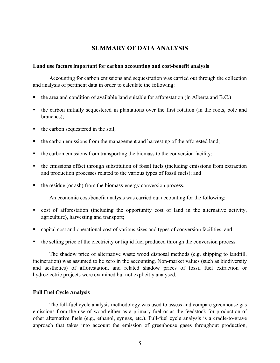# **SUMMARY OF DATA ANALYSIS**

#### **Land use factors important for carbon accounting and cost-benefit analysis**

Accounting for carbon emissions and sequestration was carried out through the collection and analysis of pertinent data in order to calculate the following:

- the area and condition of available land suitable for afforestation (in Alberta and B.C.)
- the carbon initially sequestered in plantations over the first rotation (in the roots, bole and branches);
- $\blacksquare$  the carbon sequestered in the soil;
- the carbon emissions from the management and harvesting of the afforested land;
- $\bullet$  the carbon emissions from transporting the biomass to the conversion facility;
- the emissions offset through substitution of fossil fuels (including emissions from extraction and production processes related to the various types of fossil fuels); and
- the residue (or ash) from the biomass-energy conversion process.

An economic cost/benefit analysis was carried out accounting for the following:

- cost of afforestation (including the opportunity cost of land in the alternative activity, agriculture), harvesting and transport;
- capital cost and operational cost of various sizes and types of conversion facilities; and
- the selling price of the electricity or liquid fuel produced through the conversion process.

The shadow price of alternative waste wood disposal methods (e.g. shipping to landfill, incineration) was assumed to be zero in the accounting. Non-market values (such as biodiversity and aesthetics) of afforestation, and related shadow prices of fossil fuel extraction or hydroelectric projects were examined but not explicitly analysed.

## **Full Fuel Cycle Analysis**

The full-fuel cycle analysis methodology was used to assess and compare greenhouse gas emissions from the use of wood either as a primary fuel or as the feedstock for production of other alternative fuels (e.g., ethanol, syngas, etc.). Full-fuel cycle analysis is a cradle-to-grave approach that takes into account the emission of greenhouse gases throughout production,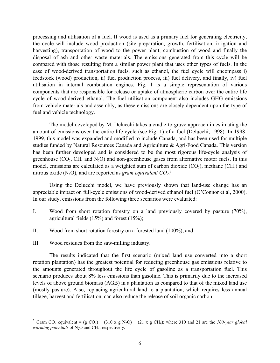processing and utilisation of a fuel. If wood is used as a primary fuel for generating electricity, the cycle will include wood production (site preparation, growth, fertilisation, irrigation and harvesting), transportation of wood to the power plant, combustion of wood and finally the disposal of ash and other waste materials. The emissions generated from this cycle will be compared with those resulting from a similar power plant that uses other types of fuels. In the case of wood-derived transportation fuels, such as ethanol, the fuel cycle will encompass i) feedstock (wood) production, ii) fuel production process, iii) fuel delivery, and finally, iv) fuel utilisation in internal combustion engines. Fig. 1 is a simple representation of various components that are responsible for release or uptake of atmospheric carbon over the entire life cycle of wood-derived ethanol. The fuel utilisation component also includes GHG emissions from vehicle materials and assembly, as these emissions are closely dependent upon the type of fuel and vehicle technology.

The model developed by M. Delucchi takes a cradle-to-grave approach in estimating the amount of emissions over the entire life cycle (see Fig. 1) of a fuel (Delucchi, 1998). In 1998- 1999, this model was expanded and modified to include Canada, and has been used for multiple studies funded by Natural Resources Canada and Agriculture & Agri-Food Canada. This version has been further developed and is considered to be the most rigorous life-cycle analysis of greenhouse  $(CO_2, CH_4$  and  $N_2O$ ) and non-greenhouse gases from alternative motor fuels. In this model, emissions are calculated as a weighted sum of carbon dioxide  $(CO_2)$ , methane  $(CH_4)$  and nitrous oxide  $(N_2O)$ , and are reported as *gram equivalent*  $CO_2$ .<sup>[1](#page-12-0)</sup>

Using the Delucchi model, we have previously shown that land-use change has an appreciable impact on full-cycle emissions of wood-derived ethanol fuel (O'Connor et al, 2000). In our study, emissions from the following three scenarios were evaluated:

- I. Wood from short rotation forestry on a land previously covered by pasture (70%), agricultural fields (15%) and forest (15%);
- II. Wood from short rotation forestry on a forested land (100%), and
- III. Wood residues from the saw-milling industry.

l

The results indicated that the first scenario (mixed land use converted into a short rotation plantation) has the greatest potential for reducing greenhouse gas emissions relative to the amounts generated throughout the life cycle of gasoline as a transportation fuel. This scenario produces about 8% less emissions than gasoline. This is primarily due to the increased levels of above ground biomass (AGB) in a plantation as compared to that of the mixed land use (mostly pasture). Also, replacing agricultural land to a plantation, which requires less annual tillage, harvest and fertilisation, can also reduce the release of soil organic carbon.

<span id="page-12-0"></span><sup>&</sup>lt;sup>1</sup> Gram CO<sub>2</sub> equivalent = (g CO<sub>2</sub>) + (310 x g N<sub>2</sub>O) + (21 x g CH<sub>4</sub>); where 310 and 21 are the *100-year global warming potentials* of N<sub>2</sub>O and CH<sub>4</sub>, respectively.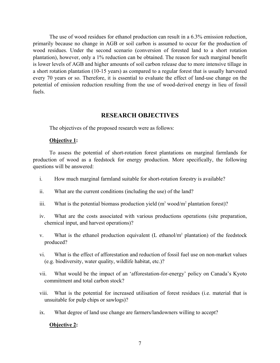The use of wood residues for ethanol production can result in a 6.3% emission reduction, primarily because no change in AGB or soil carbon is assumed to occur for the production of wood residues. Under the second scenario (conversion of forested land to a short rotation plantation), however, only a 1% reduction can be obtained. The reason for such marginal benefit is lower levels of AGB and higher amounts of soil carbon release due to more intensive tillage in a short rotation plantation (10-15 years) as compared to a regular forest that is usually harvested every 70 years or so. Therefore, it is essential to evaluate the effect of land-use change on the potential of emission reduction resulting from the use of wood-derived energy in lieu of fossil fuels.

# **RESEARCH OBJECTIVES**

The objectives of the proposed research were as follows:

#### **Objective 1:**

To assess the potential of short-rotation forest plantations on marginal farmlands for production of wood as a feedstock for energy production. More specifically, the following questions will be answered:

- i. How much marginal farmland suitable for short-rotation forestry is available?
- ii. What are the current conditions (including the use) of the land?
- iii. What is the potential biomass production yield  $(m^3 \text{ wood/m}^2)$  plantation forest)?
- iv. What are the costs associated with various productions operations (site preparation, chemical input, and harvest operations)?
- v. What is the ethanol production equivalent  $(L \text{ ethanol/m}^2 \text{plantation})$  of the feedstock produced?
- vi. What is the effect of afforestation and reduction of fossil fuel use on non-market values (e.g. biodiversity, water quality, wildlife habitat, etc.)?
- vii. What would be the impact of an 'afforestation-for-energy' policy on Canada's Kyoto commitment and total carbon stock?
- viii. What is the potential for increased utilisation of forest residues (i.e. material that is unsuitable for pulp chips or sawlogs)?
- ix. What degree of land use change are farmers/landowners willing to accept?

## **Objective 2:**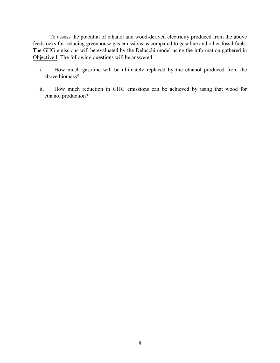To assess the potential of ethanol and wood-derived electricity produced from the above feedstocks for reducing greenhouse gas emissions as compared to gasoline and other fossil fuels. The GHG emissions will be evaluated by the Delucchi model using the information gathered in Objective I. The following questions will be answered:

- i. How much gasoline will be ultimately replaced by the ethanol produced from the above biomass?
- ii. How much reduction in GHG emissions can be achieved by using that wood for ethanol production?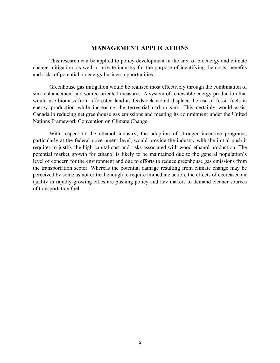# **MANAGEMENT APPLICATIONS**

This research can be applied to policy development in the area of bioenergy and climate change mitigation, as well to private industry for the purpose of identifying the costs, benefits and risks of potential bioenergy business opportunities.

Greenhouse gas mitigation would be realised most effectively through the combination of sink-enhancement and source-oriented measures. A system of renewable energy production that would use biomass from afforested land as feedstock would displace the use of fossil fuels in energy production while increasing the terrestrial carbon sink. This certainly would assist Canada in reducing net greenhouse gas emissions and meeting its commitment under the United Nations Framework Convention on Climate Change.

With respect to the ethanol industry, the adoption of stronger incentive programs, particularly at the federal government level, would provide the industry with the initial push it requires to justify the high capital cost and risks associated with wood-ethanol production. The potential market growth for ethanol is likely to be maintained due to the general population's level of concern for the environment and due to efforts to reduce greenhouse gas emissions from the transportation sector. Whereas the potential damage resulting from climate change may be perceived by some as not critical enough to require immediate action, the effects of decreased air quality in rapidly-growing cities are pushing policy and law makers to demand cleaner sources of transportation fuel.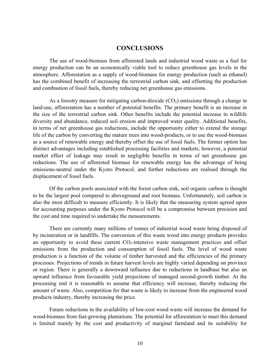# **CONCLUSIONS**

The use of wood-biomass from afforested lands and industrial wood waste as a fuel for energy production can be an economically viable tool to reduce greenhouse gas levels in the atmosphere. Afforestation as a supply of wood-biomass for energy production (such as ethanol) has the combined benefit of increasing the terrestrial carbon sink, and offsetting the production and combustion of fossil fuels, thereby reducing net greenhouse gas emissions.

As a forestry measure for mitigating carbon-dioxide  $(CO<sub>2</sub>)$  emissions through a change in land-use, afforestation has a number of potential benefits. The primary benefit is an increase in the size of the terrestrial carbon sink. Other benefits include the potential increase in wildlife diversity and abundance, reduced soil erosion and improved water quality. Additional benefits, in terms of net greenhouse gas reductions, include the opportunity either to extend the storage life of the carbon by converting the mature trees into wood-products, or to use the wood-biomass as a source of renewable energy and thereby offset the use of fossil fuels. The former option has distinct advantages including established processing facilities and markets; however, a potential market effect of leakage may result in negligible benefits in terms of net greenhouse gas reductions. The use of afforested biomass for renewable energy has the advantage of being emissions-neutral under the Kyoto Protocol, and further reductions are realised through the displacement of fossil fuels.

Of the carbon pools associated with the forest carbon sink, soil organic carbon is thought to be the largest pool compared to aboveground and root biomass. Unfortunately, soil carbon is also the most difficult to measure efficiently. It is likely that the measuring system agreed upon for accounting purposes under the Kyoto Protocol will be a compromise between precision and the cost and time required to undertake the measurements.

There are currently many millions of tonnes of industrial wood waste being disposed of by incineration or in landfills. The conversion of this waste wood into energy products provides an opportunity to avoid these current CO<sub>2</sub>-intensive waste management practices and offset emissions from the production and consumption of fossil fuels. The level of wood waste production is a function of the volume of timber harvested and the efficiencies of the primary processes. Projections of trends in future harvest levels are highly varied depending on province or region. There is generally a downward influence due to reductions in landbase but also an upward influence from favourable yield projections of managed second-growth timber. At the processing end it is reasonable to assume that efficiency will increase, thereby reducing the amount of waste. Also, competition for that waste is likely to increase from the engineered wood products industry, thereby increasing the price.

Future reductions in the availability of low-cost wood waste will increase the demand for wood-biomass from fast-growing plantations. The potential for afforestation to meet this demand is limited mainly by the cost and productivity of marginal farmland and its suitability for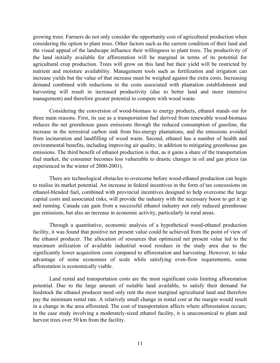growing trees. Farmers do not only consider the opportunity cost of agricultural production when considering the option to plant trees. Other factors such as the current condition of their land and the visual appeal of the landscape influence their willingness to plant trees. The productivity of the land initially available for afforestation will be marginal in terms of its potential for agricultural crop production. Trees will grow on this land but their yield will be restricted by nutrient and moisture availability. Management tools such as fertilization and irrigation can increase yields but the value of that increase must be weighed against the extra costs. Increasing demand combined with reductions in the costs associated with plantation establishment and harvesting will result in increased productivity (due to better land and more intensive management) and therefore greater potential to compete with wood waste.

Considering the conversion of wood-biomass to energy products, ethanol stands out for three main reasons. First, its use as a transportation fuel derived from renewable wood-biomass reduces the net greenhouse gases emissions through the reduced consumption of gasoline, the increase in the terrestrial carbon sink from bio-energy plantations, and the emissions avoided from incineration and landfilling of wood waste. Second, ethanol has a number of health and environmental benefits, including improving air quality, in addition to mitigating greenhouse gas emissions. The third benefit of ethanol production is that, as it gains a share of the transportation fuel market, the consumer becomes less vulnerable to drastic changes in oil and gas prices (as experienced in the winter of 2000-2001).

There are technological obstacles to overcome before wood-ethanol production can begin to realise its market potential. An increase in federal incentives in the form of tax concessions on ethanol-blended fuel, combined with provincial incentives designed to help overcome the large capital costs and associated risks, will provide the industry with the necessary boost to get it up and running. Canada can gain from a successful ethanol industry not only reduced greenhouse gas emissions, but also an increase in economic activity, particularly in rural areas.

Through a quantitative, economic analysis of a hypothetical wood-ethanol production facility, it was found that positive net present value could be achieved from the point of view of the ethanol producer. The allocation of resources that optimized net present value led to the maximum utilization of available industrial wood residues in the study area due to the significantly lower acquisition costs compared to afforestation and harvesting. However, to take advantage of some economies of scale while satisfying even-flow requirements, some afforestation is economically viable.

Land rental and transportation costs are the most significant costs limiting afforestation potential. Due to the large amount of suitable land available, to satisfy their demand for feedstock the ethanol producer need only rent the most marginal agricultural land and therefore pay the minimum rental rate. A relatively small change in rental cost at the margin would result in a change in the area afforested. The cost of transportation affects where afforestation occurs; in the case study involving a moderately-sized ethanol facility, it is uneconomical to plant and harvest trees over 50 km from the facility.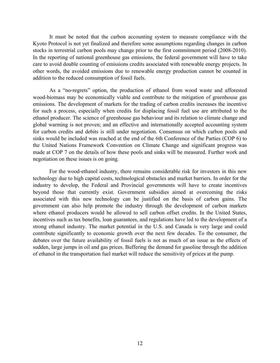It must be noted that the carbon accounting system to measure compliance with the Kyoto Protocol is not yet finalized and therefore some assumptions regarding changes in carbon stocks in terrestrial carbon pools may change prior to the first commitment period (2008-2010). In the reporting of national greenhouse gas emissions, the federal government will have to take care to avoid double counting of emissions credits associated with renewable energy projects. In other words, the avoided emissions due to renewable energy production cannot be counted in addition to the reduced consumption of fossil fuels.

As a "no-regrets" option, the production of ethanol from wood waste and afforested wood-biomass may be economically viable and contribute to the mitigation of greenhouse gas emissions. The development of markets for the trading of carbon credits increases the incentive for such a process, especially when credits for displacing fossil fuel use are attributed to the ethanol producer. The science of greenhouse gas behaviour and its relation to climate change and global warming is not proven; and an effective and internationally accepted accounting system for carbon credits and debits is still under negotiation. Consensus on which carbon pools and sinks would be included was reached at the end of the 6th Conference of the Parties (COP 6) to the United Nations Framework Convention on Climate Change and significant progress was made at COP 7 on the details of how these pools and sinks will be measured. Further work and negotiation on these issues is on going.

For the wood-ethanol industry, there remains considerable risk for investors in this new technology due to high capital costs, technological obstacles and market barriers. In order for the industry to develop, the Federal and Provincial governments will have to create incentives beyond those that currently exist. Government subsidies aimed at overcoming the risks associated with this new technology can be justified on the basis of carbon gains. The government can also help promote the industry through the development of carbon markets where ethanol producers would be allowed to sell carbon offset credits. In the United States, incentives such as tax benefits, loan guarantees, and regulations have led to the development of a strong ethanol industry. The market potential in the U.S. and Canada is very large and could contribute significantly to economic growth over the next few decades. To the consumer, the debates over the future availability of fossil fuels is not as much of an issue as the effects of sudden, large jumps in oil and gas prices. Buffering the demand for gasoline through the addition of ethanol in the transportation fuel market will reduce the sensitivity of prices at the pump.